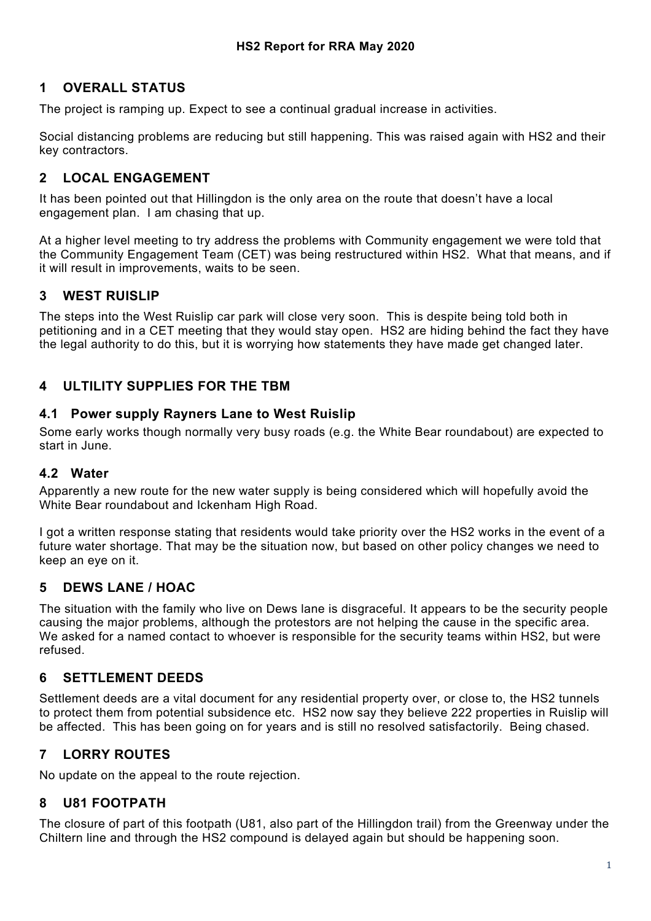## **1 OVERALL STATUS**

The project is ramping up. Expect to see a continual gradual increase in activities.

Social distancing problems are reducing but still happening. This was raised again with HS2 and their key contractors.

### **2 LOCAL ENGAGEMENT**

It has been pointed out that Hillingdon is the only area on the route that doesn't have a local engagement plan. I am chasing that up.

At a higher level meeting to try address the problems with Community engagement we were told that the Community Engagement Team (CET) was being restructured within HS2. What that means, and if it will result in improvements, waits to be seen.

## **3 WEST RUISLIP**

The steps into the West Ruislip car park will close very soon. This is despite being told both in petitioning and in a CET meeting that they would stay open. HS2 are hiding behind the fact they have the legal authority to do this, but it is worrying how statements they have made get changed later.

## **4 ULTILITY SUPPLIES FOR THE TBM**

#### **4.1 Power supply Rayners Lane to West Ruislip**

Some early works though normally very busy roads (e.g. the White Bear roundabout) are expected to start in June.

### **4.2 Water**

Apparently a new route for the new water supply is being considered which will hopefully avoid the White Bear roundabout and Ickenham High Road.

I got a written response stating that residents would take priority over the HS2 works in the event of a future water shortage. That may be the situation now, but based on other policy changes we need to keep an eye on it.

### **5 DEWS LANE / HOAC**

The situation with the family who live on Dews lane is disgraceful. It appears to be the security people causing the major problems, although the protestors are not helping the cause in the specific area. We asked for a named contact to whoever is responsible for the security teams within HS2, but were refused.

### **6 SETTLEMENT DEEDS**

Settlement deeds are a vital document for any residential property over, or close to, the HS2 tunnels to protect them from potential subsidence etc. HS2 now say they believe 222 properties in Ruislip will be affected. This has been going on for years and is still no resolved satisfactorily. Being chased.

# **7 LORRY ROUTES**

No update on the appeal to the route rejection.

### **8 U81 FOOTPATH**

The closure of part of this footpath (U81, also part of the Hillingdon trail) from the Greenway under the Chiltern line and through the HS2 compound is delayed again but should be happening soon.